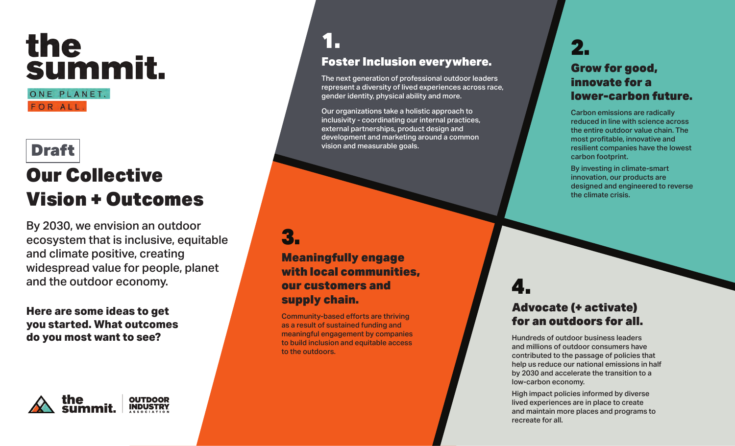# the<br>summit.

ONE PLANET. FOR ALL.

### Draft

## Our Collective Vision + Outcomes

By 2030, we envision an outdoor ecosystem that is inclusive, equitable and climate positive, creating widespread value for people, planet and the outdoor economy.

**Here are some ideas to get you started. What outcomes do you most want to see?**



#### 1. Foster Inclusion everywhere.

The next generation of professional outdoor leaders represent a diversity of lived experiences across race, gender identity, physical ability and more.

Our organizations take a holistic approach to inclusivity - coordinating our internal practices, external partnerships, product design and development and marketing around a common vision and measurable goals.

#### 3.

Meaningfully engage with local communities, our customers and supply chain.

Community-based efforts are thriving as a result of sustained funding and meaningful engagement by companies to build inclusion and equitable access to the outdoors.

#### 2. Grow for good, innovate for a lower-carbon future.

Carbon emissions are radically reduced in line with science across the entire outdoor value chain. The most profitable, innovative and resilient companies have the lowest carbon footprint.

By investing in climate-smart innovation, our products are designed and engineered to reverse the climate crisis.

# 4.

#### Advocate (+ activate) for an outdoors for all.

Hundreds of outdoor business leaders and millions of outdoor consumers have contributed to the passage of policies that help us reduce our national emissions in half by 2030 and accelerate the transition to a low-carbon economy.

High impact policies informed by diverse lived experiences are in place to create and maintain more places and programs to recreate for all.